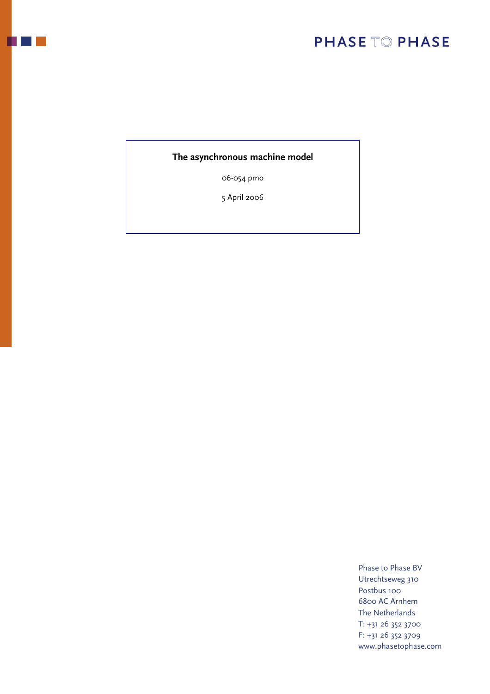### **The asynchronous machine model**

06-054 pmo

5 April 2006

Phase to Phase BV Utrechtseweg 310 Postbus 100 6800 AC Arnhem The Netherlands T: +31 26 352 3700 F: +31 26 352 3709 www.phasetophase.com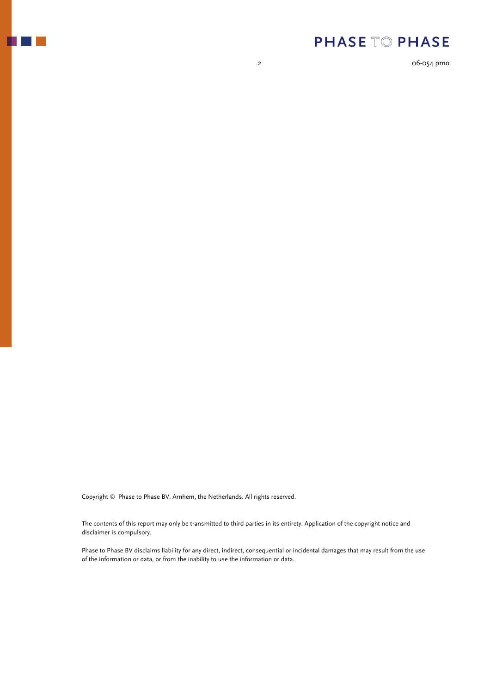

2 06-054 pmo

Copyright © Phase to Phase BV, Arnhem, the Netherlands. All rights reserved.

The contents of this report may only be transmitted to third parties in its entirety. Application of the copyright notice and disclaimer is compulsory.

Phase to Phase BV disclaims liability for any direct, indirect, consequential or incidental damages that may result from the use of the information or data, or from the inability to use the information or data.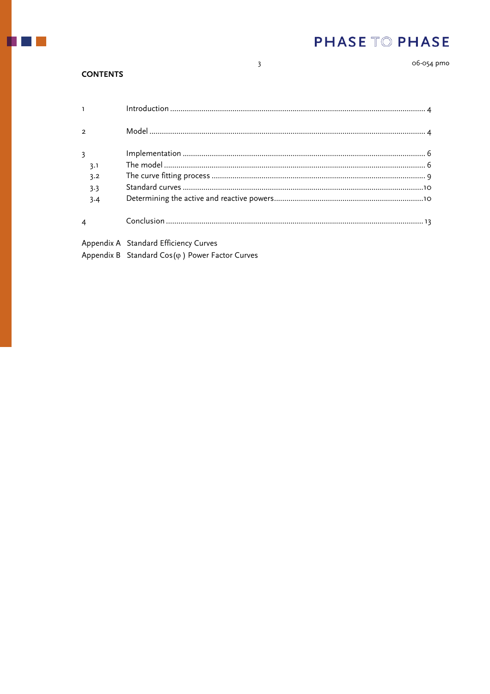06-054 pmo

#### **CONTENTS**

 $\mathbf{I}$ 

 $\overline{2}$ 

 $\overline{3}$  $3.1$ 

 $\overline{4}$ 

 $3.2$ 

 $3.3$ 

 $3.4$ 

Appendix A Standard Efficiency Curves

Appendix B Standard Cos( $\varphi$ ) Power Factor Curves

 $\overline{\mathbf{3}}$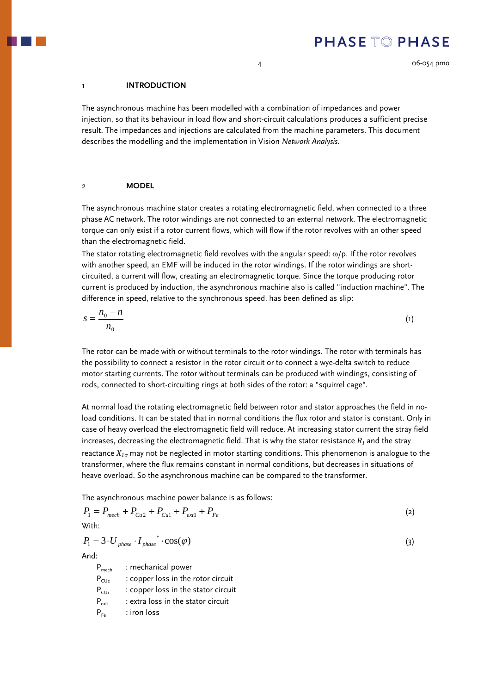### <span id="page-3-0"></span>1 **INTRODUCTION**

The asynchronous machine has been modelled with a combination of impedances and power injection, so that its behaviour in load flow and short-circuit calculations produces a sufficient precise result. The impedances and injections are calculated from the machine parameters. This document describes the modelling and the implementation in Vision *Network Analysis*.

### 2 **MODEL**

The asynchronous machine stator creates a rotating electromagnetic field, when connected to a three phase AC network. The rotor windings are not connected to an external network. The electromagnetic torque can only exist if a rotor current flows, which will flow if the rotor revolves with an other speed than the electromagnetic field.

The stator rotating electromagnetic field revolves with the angular speed:  $\omega/p$ . If the rotor revolves with another speed, an EMF will be induced in the rotor windings. If the rotor windings are shortcircuited, a current will flow, creating an electromagnetic torque. Since the torque producing rotor current is produced by induction, the asynchronous machine also is called "induction machine". The difference in speed, relative to the synchronous speed, has been defined as slip:

$$
s = \frac{n_0 - n}{n_0} \tag{1}
$$

The rotor can be made with or without terminals to the rotor windings. The rotor with terminals has the possibility to connect a resistor in the rotor circuit or to connect a wye-delta switch to reduce motor starting currents. The rotor without terminals can be produced with windings, consisting of rods, connected to short-circuiting rings at both sides of the rotor: a "squirrel cage".

At normal load the rotating electromagnetic field between rotor and stator approaches the field in noload conditions. It can be stated that in normal conditions the flux rotor and stator is constant. Only in case of heavy overload the electromagnetic field will reduce. At increasing stator current the stray field increases, decreasing the electromagnetic field. That is why the stator resistance  $R<sub>1</sub>$  and the stray reactance  $X_{1\sigma}$  may not be neglected in motor starting conditions. This phenomenon is analogue to the transformer, where the flux remains constant in normal conditions, but decreases in situations of heave overload. So the asynchronous machine can be compared to the transformer.

The asynchronous machine power balance is as follows:

$$
P_1 = P_{mech} + P_{Cu2} + P_{Cu1} + P_{ext1} + P_{Fe}
$$
\n<sup>(2)</sup>

With:

$$
P_1 = 3 \cdot U_{phase} \cdot I_{phase}^* \cdot \cos(\varphi) \tag{3}
$$

And:

P<sub>mech</sub> : mechanical power  $P_{CU_2}$  : copper loss in the rotor circuit  $P_{\text{CL1}}$  : copper loss in the stator circuit  $P_{ext1}$  : extra loss in the stator circuit  $P_{F_e}$  : iron loss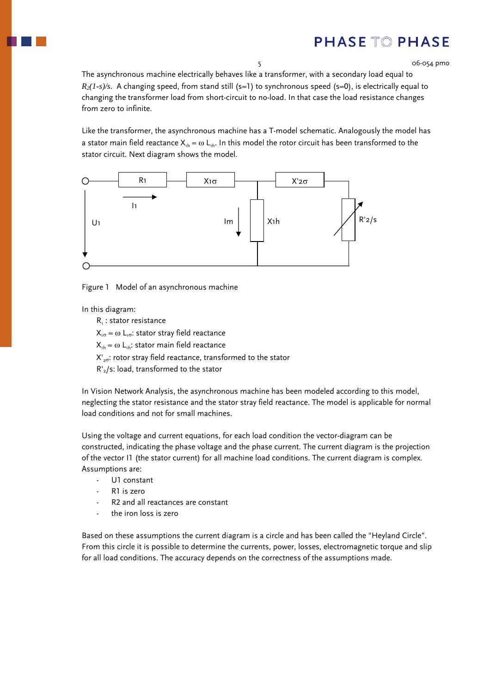5 06-054 pmo

The asynchronous machine electrically behaves like a transformer, with a secondary load equal to  $R_2(1-s)/s$ . A changing speed, from stand still (s=1) to synchronous speed (s=0), is electrically equal to changing the transformer load from short-circuit to no-load. In that case the load resistance changes from zero to infinite.

Like the transformer, the asynchronous machine has a T-model schematic. Analogously the model has a stator main field reactance  $X_{1h} = \omega L_{1h}$ . In this model the rotor circuit has been transformed to the stator circuit. Next diagram shows the model.



Figure 1 Model of an asynchronous machine

In this diagram:

 $R_1$ : stator resistance

 $X_{1\sigma} = \omega L_{1\sigma}$ : stator stray field reactance

 $X_{1h} = \omega L_{1h}$ : stator main field reactance

 $X'_{20}$ : rotor stray field reactance, transformed to the stator

R'2/s: load, transformed to the stator

In Vision Network Analysis, the asynchronous machine has been modeled according to this model, neglecting the stator resistance and the stator stray field reactance. The model is applicable for normal load conditions and not for small machines.

Using the voltage and current equations, for each load condition the vector-diagram can be constructed, indicating the phase voltage and the phase current. The current diagram is the projection of the vector I1 (the stator current) for all machine load conditions. The current diagram is complex. Assumptions are:

- U1 constant
- R1 is zero
- R<sub>2</sub> and all reactances are constant
- the iron loss is zero

Based on these assumptions the current diagram is a circle and has been called the "Heyland Circle". From this circle it is possible to determine the currents, power, losses, electromagnetic torque and slip for all load conditions. The accuracy depends on the correctness of the assumptions made.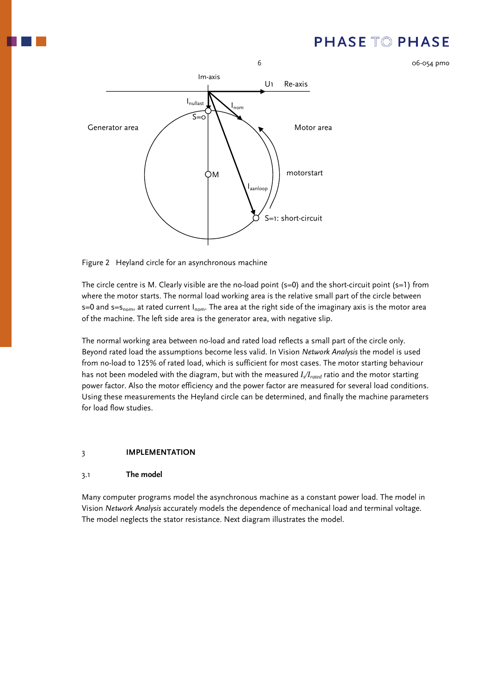

<span id="page-5-0"></span>

Figure 2 Heyland circle for an asynchronous machine

The circle centre is M. Clearly visible are the no-load point  $(s=0)$  and the short-circuit point  $(s=1)$  from where the motor starts. The normal load working area is the relative small part of the circle between  $s=0$  and  $s=s_{nom}$ , at rated current  $I_{nom}$ . The area at the right side of the imaginary axis is the motor area of the machine. The left side area is the generator area, with negative slip.

The normal working area between no-load and rated load reflects a small part of the circle only. Beyond rated load the assumptions become less valid. In Vision *Network Analysis* the model is used from no-load to 125% of rated load, which is sufficient for most cases. The motor starting behaviour has not been modeled with the diagram, but with the measured *I<sub>s</sub>/I<sub>rated</sub>* ratio and the motor starting power factor. Also the motor efficiency and the power factor are measured for several load conditions. Using these measurements the Heyland circle can be determined, and finally the machine parameters for load flow studies.

#### 3 **IMPLEMENTATION**

#### 3.1 **The model**

Many computer programs model the asynchronous machine as a constant power load. The model in Vision *Network Analysis* accurately models the dependence of mechanical load and terminal voltage. The model neglects the stator resistance. Next diagram illustrates the model.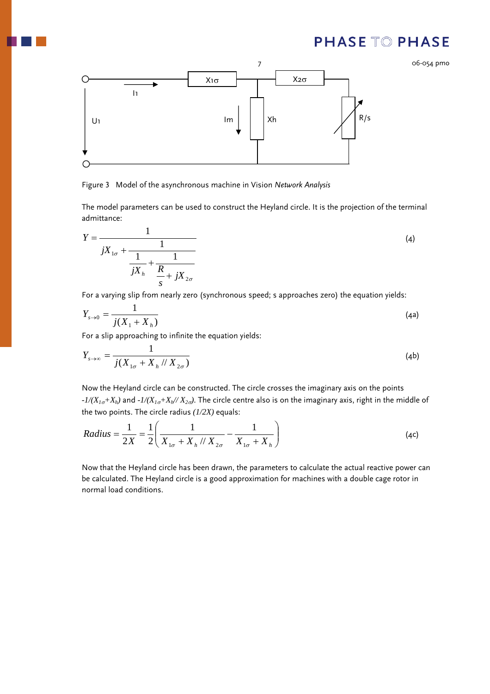

Figure 3 Model of the asynchronous machine in Vision *Network Analysis*

The model parameters can be used to construct the Heyland circle. It is the projection of the terminal admittance:

$$
Y = \frac{1}{jX_{1\sigma} + \frac{1}{\frac{1}{jX_h} + \frac{1}{\frac{R}{s} + jX_{2\sigma}}}}
$$
(4)

For a varying slip from nearly zero (synchronous speed; s approaches zero) the equation yields:

$$
Y_{s \to 0} = \frac{1}{j(X_1 + X_h)}
$$
(4a)

For a slip approaching to infinite the equation yields:

$$
Y_{s \to \infty} = \frac{1}{j(X_{1\sigma} + X_h // X_{2\sigma})}
$$
 (4b)

Now the Heyland circle can be constructed. The circle crosses the imaginary axis on the points *-1/(X1*σ*+Xh)* and *-1/(X1*σ*+Xh// X2*σ*)*. The circle centre also is on the imaginary axis, right in the middle of the two points. The circle radius *(1/2X)* equals:

Radius = 
$$
\frac{1}{2X} = \frac{1}{2} \left( \frac{1}{X_{1\sigma} + X_h / X_{2\sigma}} - \frac{1}{X_{1\sigma} + X_h} \right)
$$
 (4c)

Now that the Heyland circle has been drawn, the parameters to calculate the actual reactive power can be calculated. The Heyland circle is a good approximation for machines with a double cage rotor in normal load conditions.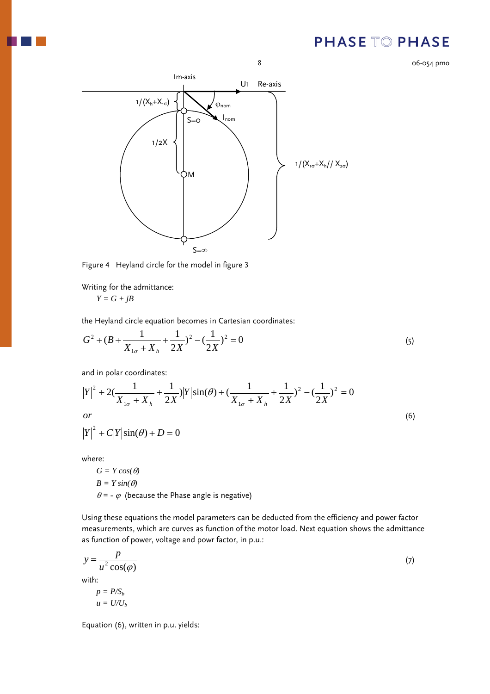8 06-054 pmo



Figure 4 Heyland circle for the model in figure 3

Writing for the admittance:

 $Y = G + jB$ 

the Heyland circle equation becomes in Cartesian coordinates:

$$
G^{2} + (B + \frac{1}{X_{1\sigma} + X_{h}} + \frac{1}{2X})^{2} - (\frac{1}{2X})^{2} = 0
$$
\n(5)

and in polar coordinates:

$$
|Y|^2 + 2\left(\frac{1}{X_{1\sigma} + X_h} + \frac{1}{2X}\right)|Y|\sin(\theta) + \left(\frac{1}{X_{1\sigma} + X_h} + \frac{1}{2X}\right)^2 - \left(\frac{1}{2X}\right)^2 = 0
$$
  
or  

$$
|Y|^2 + C|Y|\sin(\theta) + D = 0
$$
 (6)

where:

 $G = Y cos(\theta)$  $B = Y \sin(\theta)$  $\theta$  = -  $\varphi$  (because the Phase angle is negative)

Using these equations the model parameters can be deducted from the efficiency and power factor measurements, which are curves as function of the motor load. Next equation shows the admittance as function of power, voltage and powr factor, in p.u.:

$$
y = \frac{p}{u^2 \cos(\varphi)}\tag{7}
$$

with:

 $p = P/S<sub>b</sub>$  $u = U/U_b$ 

Equation (6), written in p.u. yields: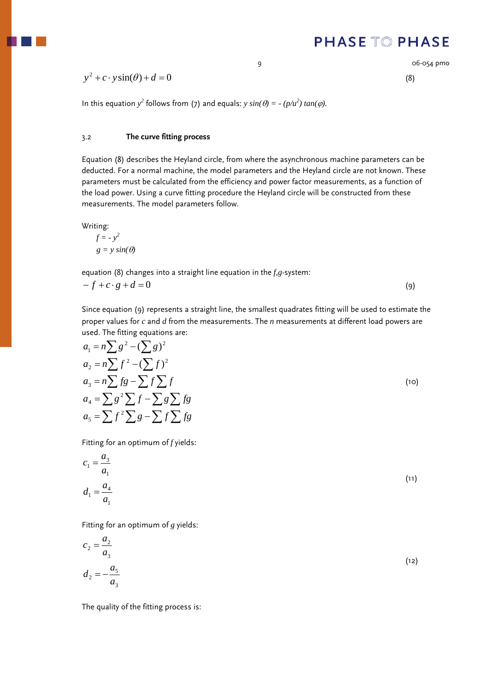9 06-054 pmo

## <span id="page-8-0"></span> $y^2 + c \cdot y \sin(\theta) + d = 0$  (8)

In this equation  $y^2$  follows from (7) and equals:  $y \sin(\theta) = -(p/u^2) \tan(\phi)$ .

### 3.2 **The curve fitting process**

Equation (8) describes the Heyland circle, from where the asynchronous machine parameters can be deducted. For a normal machine, the model parameters and the Heyland circle are not known. These parameters must be calculated from the efficiency and power factor measurements, as a function of the load power. Using a curve fitting procedure the Heyland circle will be constructed from these measurements. The model parameters follow.

Writing:

$$
f = -y^2
$$
  
g = y sin( $\theta$ )

equation (8) changes into a straight line equation in the *f,g*-system:

$$
-f + c \cdot g + d = 0 \tag{9}
$$

Since equation (9) represents a straight line, the smallest quadrates fitting will be used to estimate the proper values for *c* and *d* from the measurements. The *n* measurements at different load powers are used. The fitting equations are:

$$
a_1 = n \sum g^2 - (\sum g)^2
$$
  
\n
$$
a_2 = n \sum f^2 - (\sum f)^2
$$
  
\n
$$
a_3 = n \sum fg - \sum f \sum f
$$
  
\n
$$
a_4 = \sum g^2 \sum f - \sum g \sum fg
$$
  
\n
$$
a_5 = \sum f^2 \sum g - \sum f \sum fg
$$
  
\n(10)

Fitting for an optimum of *f* yields:

$$
c_1 = \frac{a_3}{a_1}
$$
  
(11)  

$$
d_1 = \frac{a_4}{a_1}
$$

Fitting for an optimum of *g* yields:

$$
c_2 = \frac{a_2}{a_3}
$$
  
\n
$$
d_2 = -\frac{a_5}{a_3}
$$
\n(12)

The quality of the fitting process is: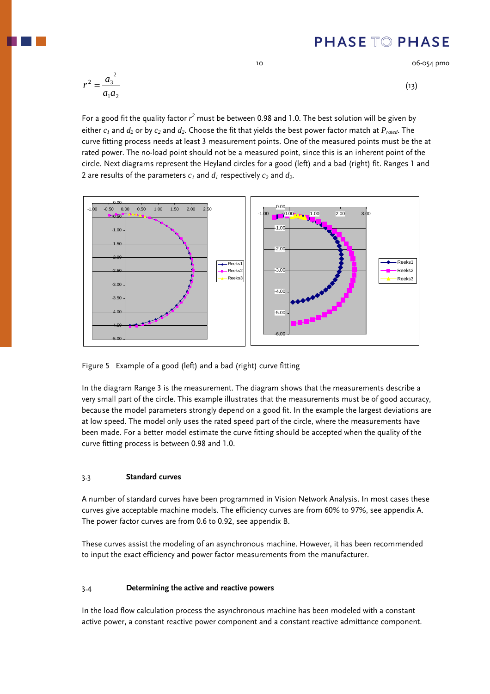10 06-054 pmo

<span id="page-9-0"></span>
$$
r^2 = \frac{a_3^2}{a_1 a_2} \tag{13}
$$

For a good fit the quality factor  $r^2$  must be between 0.98 and 1.0. The best solution will be given by either  $c_1$  and  $d_2$  or by  $c_2$  and  $d_2$ . Choose the fit that yields the best power factor match at  $P_{rad}$ . The curve fitting process needs at least 3 measurement points. One of the measured points must be the at rated power. The no-load point should not be a measured point, since this is an inherent point of the circle. Next diagrams represent the Heyland circles for a good (left) and a bad (right) fit. Ranges 1 and 2 are results of the parameters  $c_1$  and  $d_1$  respectively  $c_2$  and  $d_2$ .



Figure 5 Example of a good (left) and a bad (right) curve fitting

In the diagram Range 3 is the measurement. The diagram shows that the measurements describe a very small part of the circle. This example illustrates that the measurements must be of good accuracy, because the model parameters strongly depend on a good fit. In the example the largest deviations are at low speed. The model only uses the rated speed part of the circle, where the measurements have been made. For a better model estimate the curve fitting should be accepted when the quality of the curve fitting process is between 0.98 and 1.0.

### 3.3 **Standard curves**

A number of standard curves have been programmed in Vision Network Analysis. In most cases these curves give acceptable machine models. The efficiency curves are from 60% to 97%, see appendix A. The power factor curves are from 0.6 to 0.92, see appendix B.

These curves assist the modeling of an asynchronous machine. However, it has been recommended to input the exact efficiency and power factor measurements from the manufacturer.

### 3.4 **Determining the active and reactive powers**

In the load flow calculation process the asynchronous machine has been modeled with a constant active power, a constant reactive power component and a constant reactive admittance component.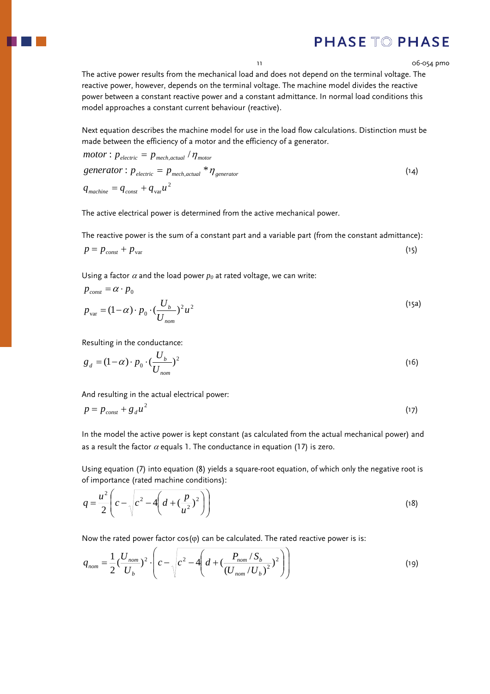The active power results from the mechanical load and does not depend on the terminal voltage. The reactive power, however, depends on the terminal voltage. The machine model divides the reactive power between a constant reactive power and a constant admittance. In normal load conditions this model approaches a constant current behaviour (reactive).

Next equation describes the machine model for use in the load flow calculations. Distinction must be made between the efficiency of a motor and the efficiency of a generator.

$$
motor: p_{electric} = p_{mech,actual} / \eta_{motor}
$$
  
\n
$$
generator: p_{electric} = p_{mech,actual} * \eta_{generator}
$$
  
\n
$$
q_{machine} = q_{const} + q_{var}u^{2}
$$
\n(14)

The active electrical power is determined from the active mechanical power.

The reactive power is the sum of a constant part and a variable part (from the constant admittance):

$$
p = p_{const} + p_{var} \tag{15}
$$

Using a factor  $\alpha$  and the load power  $p_0$  at rated voltage, we can write:

$$
p_{\text{const}} = \alpha \cdot p_0
$$
  
\n
$$
p_{\text{var}} = (1 - \alpha) \cdot p_0 \cdot (\frac{U_b}{U_{\text{nom}}})^2 u^2
$$
\n(15a)

Resulting in the conductance:

$$
g_d = (1 - \alpha) \cdot p_0 \cdot \left(\frac{U_b}{U_{nom}}\right)^2 \tag{16}
$$

And resulting in the actual electrical power:

$$
p = p_{const} + g_d u^2 \tag{17}
$$

In the model the active power is kept constant (as calculated from the actual mechanical power) and as a result the factor  $\alpha$  equals 1. The conductance in equation (17) is zero.

Using equation (7) into equation (8) yields a square-root equation, of which only the negative root is of importance (rated machine conditions):

$$
q = \frac{u^2}{2} \left( c - \sqrt{c^2 - 4 \left( d + \left( \frac{p}{u^2} \right)^2 \right)} \right)
$$
 (18)

Now the rated power factor  $cos(\varphi)$  can be calculated. The rated reactive power is is:

$$
q_{nom} = \frac{1}{2} \left( \frac{U_{nom}}{U_b} \right)^2 \cdot \left( c - \sqrt{c^2 - 4 \left( d + \left( \frac{P_{nom} / S_b}{\left( U_{nom} / U_b \right)^2} \right)^2 \right)} \right)
$$
(19)

11 06-054 pmo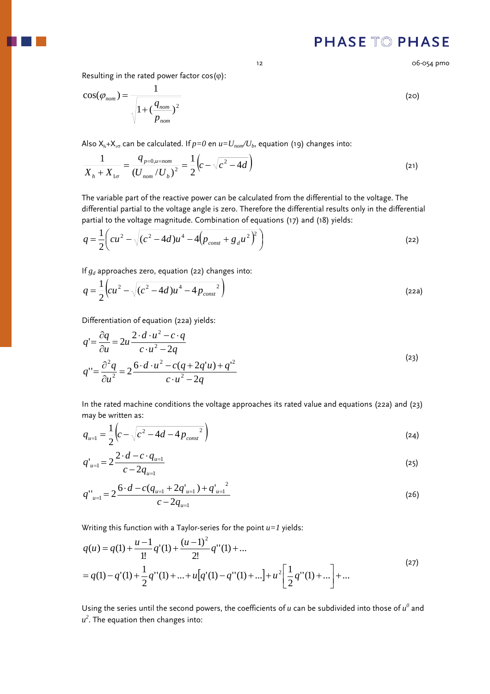Resulting in the rated power factor  $cos(\varphi)$ :

$$
\cos(\varphi_{nom}) = \frac{1}{\sqrt{1 + \left(\frac{q_{nom}}{p_{nom}}\right)^2}}
$$
\n(20)

Also  $X_h+X_{1\sigma}$  can be calculated. If  $p=0$  en  $u=U_{nom}/U_b$ , equation (19) changes into:

$$
\frac{1}{X_h + X_{1\sigma}} = \frac{q_{p=0, u=nom}}{(U_{nom}/U_b)^2} = \frac{1}{2} \left( c - \sqrt{c^2 - 4d} \right)
$$
\n(21)

The variable part of the reactive power can be calculated from the differential to the voltage. The differential partial to the voltage angle is zero. Therefore the differential results only in the differential partial to the voltage magnitude. Combination of equations (17) and (18) yields:

$$
q = \frac{1}{2} \left( cu^2 - \sqrt{(c^2 - 4d)u^4 - 4(p_{const} + g_d u^2)^2} \right)
$$
 (22)

If *gd* approaches zero, equation (22) changes into:

$$
q = \frac{1}{2} \left( cu^2 - \sqrt{(c^2 - 4d)u^4 - 4p_{const}^2} \right)
$$
 (22a)

Differentiation of equation (22a) yields:

$$
q' = \frac{\partial q}{\partial u} = 2u \frac{2 \cdot d \cdot u^2 - c \cdot q}{c \cdot u^2 - 2q}
$$
  

$$
q'' = \frac{\partial^2 q}{\partial u^2} = 2 \frac{6 \cdot d \cdot u^2 - c(q + 2q'u) + q'^2}{c \cdot u^2 - 2q}
$$
 (23)

In the rated machine conditions the voltage approaches its rated value and equations (22a) and (23) may be written as:

$$
q_{u=1} = \frac{1}{2} \left( c - \sqrt{c^2 - 4d - 4p_{const}^2} \right)
$$
 (24)

$$
q'_{u=1} = 2 \frac{2 \cdot d - c \cdot q_{u=1}}{c - 2q_{u=1}} \tag{25}
$$

$$
q_{u=1}^{\prime\prime} = 2\frac{6 \cdot d - c(q_{u=1} + 2q_{u=1}^{\prime}) + q_{u=1}^{\prime^2}}{c - 2q_{u=1}}
$$
\n(26)

Writing this function with a Taylor-series for the point *u=1* yields:

$$
q(u) = q(1) + \frac{u-1}{1!}q'(1) + \frac{(u-1)^2}{2!}q''(1) + \dots
$$
  
=  $q(1) - q'(1) + \frac{1}{2}q''(1) + \dots + u[q'(1) - q''(1) + \dots] + u^2 \left[ \frac{1}{2}q''(1) + \dots \right] + \dots$  (27)

Using the series until the second powers, the coefficients of  $u$  can be subdivided into those of  $u^0$  and  $u^2$ . The equation then changes into:

12 06-054 pmo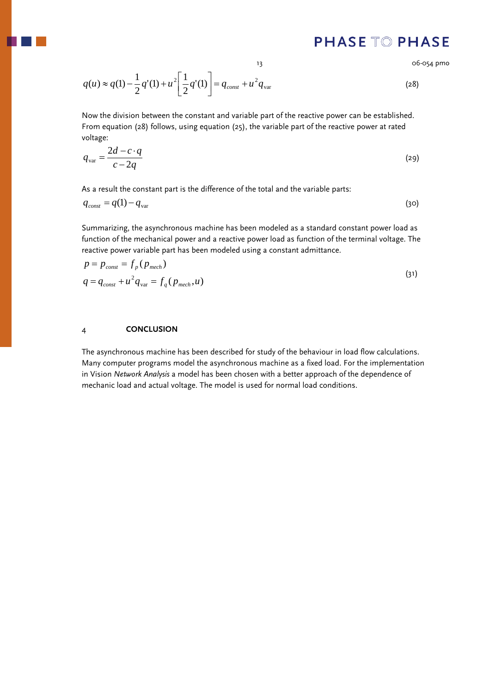13 06-054 pmo

<span id="page-12-0"></span>
$$
q(u) \approx q(1) - \frac{1}{2}q'(1) + u^2 \left[ \frac{1}{2}q'(1) \right] = q_{const} + u^2 q_{var}
$$
 (28)

Now the division between the constant and variable part of the reactive power can be established. From equation (28) follows, using equation (25), the variable part of the reactive power at rated voltage:

$$
q_{\text{var}} = \frac{2d - c \cdot q}{c - 2q} \tag{29}
$$

As a result the constant part is the difference of the total and the variable parts:

$$
q_{const} = q(1) - q_{var} \tag{30}
$$

Summarizing, the asynchronous machine has been modeled as a standard constant power load as function of the mechanical power and a reactive power load as function of the terminal voltage. The reactive power variable part has been modeled using a constant admittance.

$$
p = p_{const} = f_p(p_{mech})
$$
  
\n
$$
q = q_{const} + u^2 q_{var} = f_q(p_{mech}, u)
$$
\n(31)

### 4 **CONCLUSION**

The asynchronous machine has been described for study of the behaviour in load flow calculations. Many computer programs model the asynchronous machine as a fixed load. For the implementation in Vision *Network Analysis* a model has been chosen with a better approach of the dependence of mechanic load and actual voltage. The model is used for normal load conditions.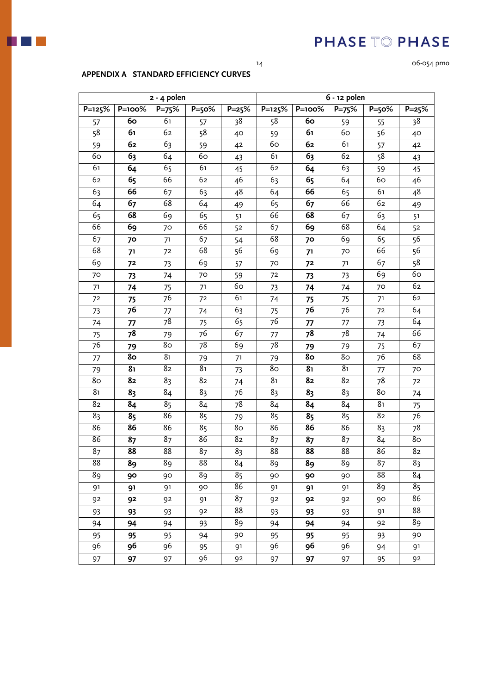

14 06-054 pmo

### **APPENDIX A STANDARD EFFICIENCY CURVES**

**2 - 4 polen** 

| 2 - 4 polen |                                                                              |  |  | 6 - 12 polen |  |    |  |  |       |
|-------------|------------------------------------------------------------------------------|--|--|--------------|--|----|--|--|-------|
|             | $P=125\%$   P=100%   P=75%   P=50%   P=25%   P=125%   P=100%   P=75%   P=50% |  |  |              |  |    |  |  | P=25% |
|             | 60                                                                           |  |  | 38           |  | 60 |  |  |       |
|             |                                                                              |  |  |              |  |    |  |  |       |

| 57                     | 60 | 61              | 57                     | 38     | 58                     | 60 | 59             | 55                          | 38              |
|------------------------|----|-----------------|------------------------|--------|------------------------|----|----------------|-----------------------------|-----------------|
| 58                     | 61 | 62              | 58                     | 40     | 59                     | 61 | 60             | 56                          | 40              |
| 59                     | 62 | 63              | 59                     | $42\,$ | 60                     | 62 | 61             | 57                          | 42              |
| 60                     | 63 | 64              | 60                     | 43     | 61                     | 63 | 62             | 58                          | 43              |
| 61                     | 64 | 65              | 61                     | 45     | 62                     | 64 | 63             | 59                          | 45              |
| 62                     | 65 | 66              | 62                     | 46     | 63                     | 65 | 64             | 60                          | 46              |
| 63                     | 66 | 67              | 63                     | 48     | 64                     | 66 | 65             | 61                          | 48              |
| $\overline{6}$         | 67 | 68              | 64                     | 49     | 65                     | 67 | 66             | 62                          | 49              |
| 65                     | 68 | 69              | 65                     | 51     | 66                     | 68 | 67             | 63                          | 5 <sup>1</sup>  |
| 66                     | 69 | 70              | 66                     | 52     | 67                     | 69 | 68             | 64                          | 52              |
| 67                     | 70 | 71              | 67                     | 54     | 68                     | 70 | 69             | 65                          | 56              |
| 68                     | 71 | 72              | 68                     | 56     | 69                     | 71 | 70             | 66                          | 56              |
| 69                     | 72 | 73              | 69                     | 57     | 70                     | 72 | 71             | 67                          | $\overline{58}$ |
| 70                     | 73 | 74              | 70                     | 59     | 72                     | 73 | 73             | 69                          | 60              |
| 71                     | 74 | 75              | 71                     | 60     | 73                     | 74 | 74             | 70                          | 62              |
| 72                     | 75 | 76              | 72                     | 61     | 74                     | 75 | 75             | 71                          | 62              |
| 73                     | 76 | 77              | 74                     | 63     | 75                     | 76 | 76             | 72                          | 64              |
| 74                     | 77 | $\overline{78}$ | 75                     | 65     | $\overline{76}$        | 77 | 77             | 73                          | 64              |
| 75                     | 78 | 79              | 76                     | 67     | 77                     | 78 | 78             | 74                          | 66              |
| 76                     | 79 | 80              | 78                     | 69     | 78                     | 79 | 79             | 75                          | 67              |
| 77                     | 80 | 8 <sub>1</sub>  | 79                     | 71     | 79                     | 80 | 80             | 76                          | 68              |
| 79                     | 81 | 82              | 81                     | 73     | 80                     | 81 | 8 <sub>1</sub> | 77                          | 70              |
| 8 <sub>o</sub>         | 82 | 83              | 82                     | 74     | 8 <sub>1</sub>         | 82 | 82             | 78                          | 72              |
| 8 <sub>1</sub>         | 83 | 84              | 83                     | 76     | 83                     | 83 | 83             | 80                          | 74              |
| 82                     | 84 | 85              | 84                     | 78     | 84                     | 84 | 84             | 8 <sub>1</sub>              | 75              |
| 83                     | 85 | 86              | 85                     | 79     | 85                     | 85 | 85             | 82                          | 76              |
| 86                     | 86 | 86              | 85                     | 80     | 86                     | 86 | 86             | 83                          | 78              |
| 86                     | 87 | 87              | 86                     | 82     | 87                     | 87 | 87             | $\overline{\overline{8}}$ 4 | 80              |
| 87                     | 88 | 88              | 87                     | 83     | $\overline{\text{88}}$ | 88 | 88             | 86                          | 82              |
| $\overline{\text{88}}$ | 89 | 89              | $\overline{\text{88}}$ | 84     | $\overline{8}9$        | 89 | 89             | 87                          | 83              |
| 89                     | 90 | 90              | 89                     | 85     | 90                     | 90 | 90             | 88                          | 84              |
| 91                     | 91 | 91              | 90                     | 86     | 91                     | 91 | 91             | 89                          | 85              |
| 92                     | 92 | 92              | 91                     | 87     | 92                     | 92 | 92             | 90                          | 86              |
| 93                     | 93 | 93              | 92                     | 88     | 93                     | 93 | 93             | 91                          | 88              |
| 94                     | 94 | 94              | 93                     | 89     | 94                     | 94 | 94             | 92                          | 89              |
| 95                     | 95 | 95              | 94                     | 90     | 95                     | 95 | 95             | 93                          | 90              |
| 96                     | 96 | 96              | 95                     | 91     | 96                     | 96 | 96             | 94                          | 91              |
| 97                     | 97 | 97              | 96                     | 92     | 97                     | 97 | 97             | 95                          | 92              |